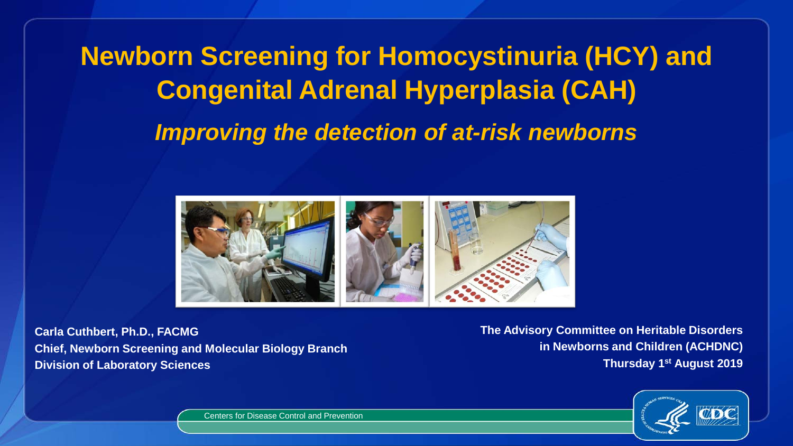**Newborn Screening for Homocystinuria (HCY) and Congenital Adrenal Hyperplasia (CAH)**  *Improving the detection of at-risk newborns*



**Carla Cuthbert, Ph.D., FACMG Chief, Newborn Screening and Molecular Biology Branch Division of Laboratory Sciences**

**The Advisory Committee on Heritable Disorders in Newborns and Children (ACHDNC) Thursday 1st August 2019** 



Centers for Disease Control and Prevention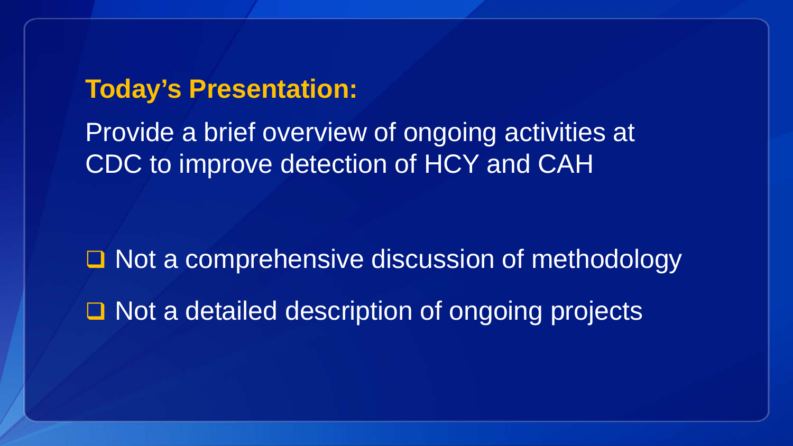### **Today's Presentation:**

Provide a brief overview of ongoing activities at CDC to improve detection of HCY and CAH

□ Not a comprehensive discussion of methodology □ Not a detailed description of ongoing projects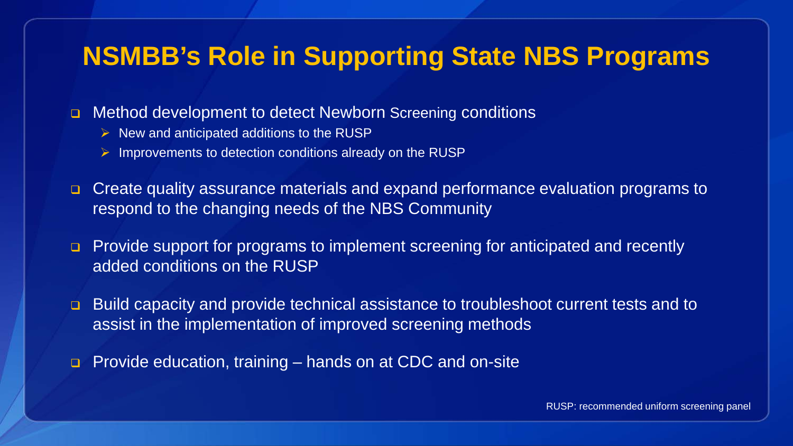### **NSMBB's Role in Supporting State NBS Programs**

■ Method development to detect Newborn Screening conditions

- $\triangleright$  New and anticipated additions to the RUSP
- $\triangleright$  Improvements to detection conditions already on the RUSP
- Create quality assurance materials and expand performance evaluation programs to respond to the changing needs of the NBS Community
- **Provide support for programs to implement screening for anticipated and recently** added conditions on the RUSP
- Build capacity and provide technical assistance to troubleshoot current tests and to assist in the implementation of improved screening methods
- Provide education, training hands on at CDC and on-site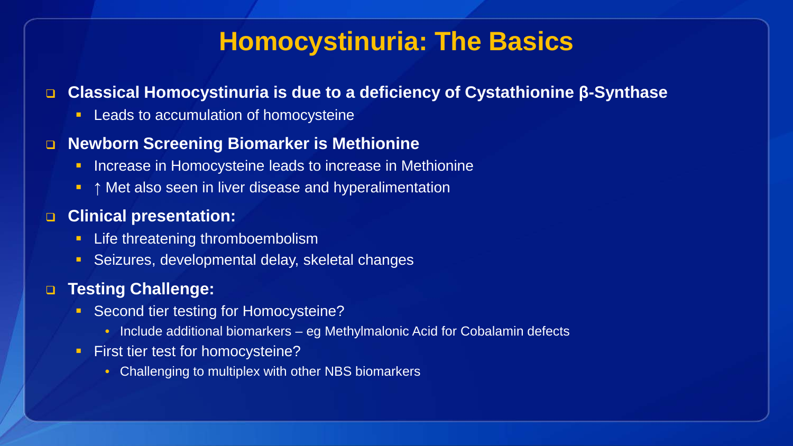### **Homocystinuria: The Basics**

#### **Classical Homocystinuria is due to a deficiency of Cystathionine β-Synthase**

Leads to accumulation of homocysteine

#### **Newborn Screening Biomarker is Methionine**

- **Increase in Homocysteine leads to increase in Methionine**
- **↑** Met also seen in liver disease and hyperalimentation

#### **Clinical presentation:**

- **Life threatening thromboembolism**
- Seizures, developmental delay, skeletal changes

#### **Testing Challenge:**

- **Second tier testing for Homocysteine?** 
	- Include additional biomarkers eg Methylmalonic Acid for Cobalamin defects
- **First tier test for homocysteine?** 
	- Challenging to multiplex with other NBS biomarkers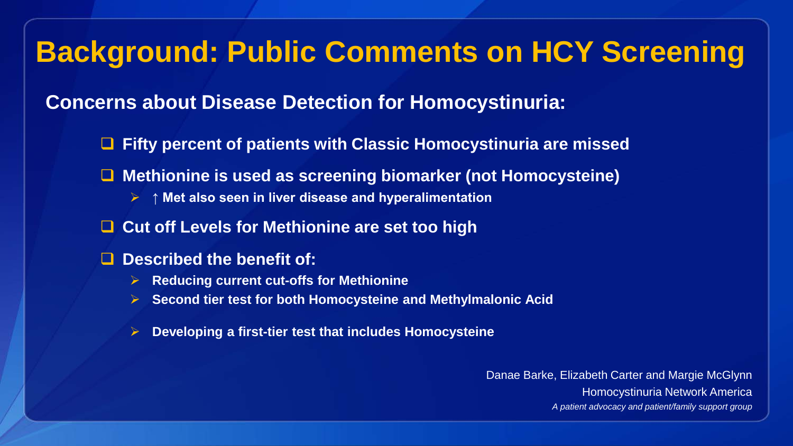## **Background: Public Comments on HCY Screening**

#### **Concerns about Disease Detection for Homocystinuria:**

- **Fifty percent of patients with Classic Homocystinuria are missed**
- **Methionine is used as screening biomarker (not Homocysteine)**
	- **↑ Met also seen in liver disease and hyperalimentation**
- **Cut off Levels for Methionine are set too high**
- **Described the benefit of:** 
	- **Reducing current cut-offs for Methionine**
	- **Second tier test for both Homocysteine and Methylmalonic Acid**
	- **Developing a first-tier test that includes Homocysteine**

Danae Barke, Elizabeth Carter and Margie McGlynn Homocystinuria Network America *A patient advocacy and patient/family support group*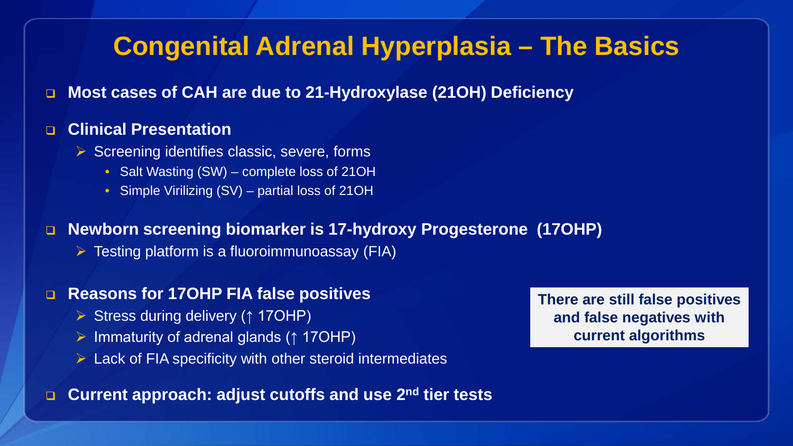### **Congenital Adrenal Hyperplasia – The Basics**

**Most cases of CAH are due to 21-Hydroxylase (21OH) Deficiency** 

#### **Clinical Presentation**

- $\triangleright$  Screening identifies classic, severe, forms
	- Salt Wasting (SW) complete loss of 21OH
	- Simple Virilizing (SV) partial loss of 21OH

#### **Newborn screening biomarker is 17-hydroxy Progesterone (17OHP)**

 $\triangleright$  Testing platform is a fluoroimmunoassay (FIA)

#### **Reasons for 17OHP FIA false positives**

- Stress during delivery (↑ 17OHP)
- Immaturity of adrenal glands (↑ 17OHP)
- $\triangleright$  Lack of FIA specificity with other steroid intermediates

**Current approach: adjust cutoffs and use 2nd tier tests**

**There are still false positives and false negatives with current algorithms**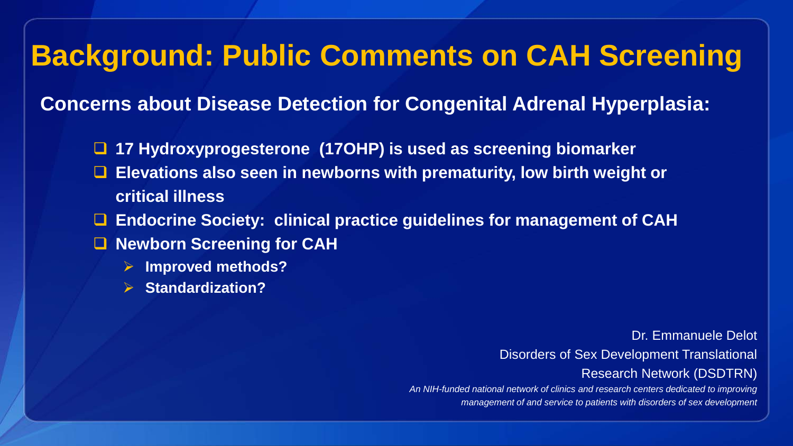### **Background: Public Comments on CAH Screening**

**Concerns about Disease Detection for Congenital Adrenal Hyperplasia:**

- **17 Hydroxyprogesterone (17OHP) is used as screening biomarker**
- **Elevations also seen in newborns with prematurity, low birth weight or critical illness**
- **Endocrine Society: clinical practice guidelines for management of CAH**
- Newborn Screening for CAH
	- **Improved methods?**
	- **Standardization?**

Dr. Emmanuele Delot Disorders of Sex Development Translational Research Network (DSDTRN)

*An NIH-funded national network of clinics and research centers dedicated to improving management of and service to patients with disorders of sex development*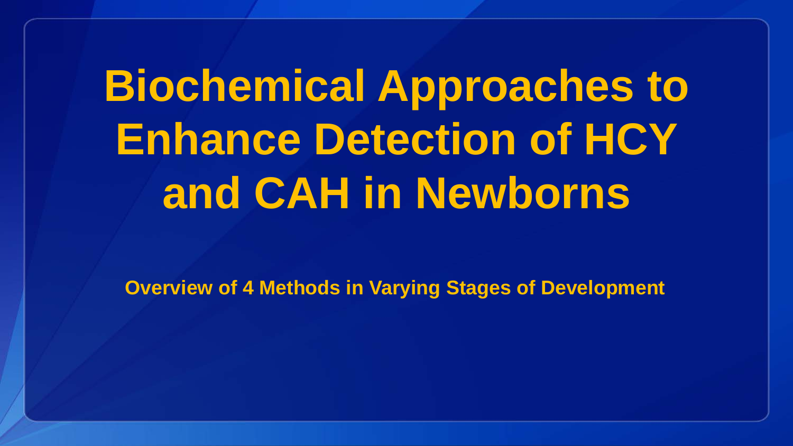# **Biochemical Approaches to Enhance Detection of HCY and CAH in Newborns**

**Overview of 4 Methods in Varying Stages of Development**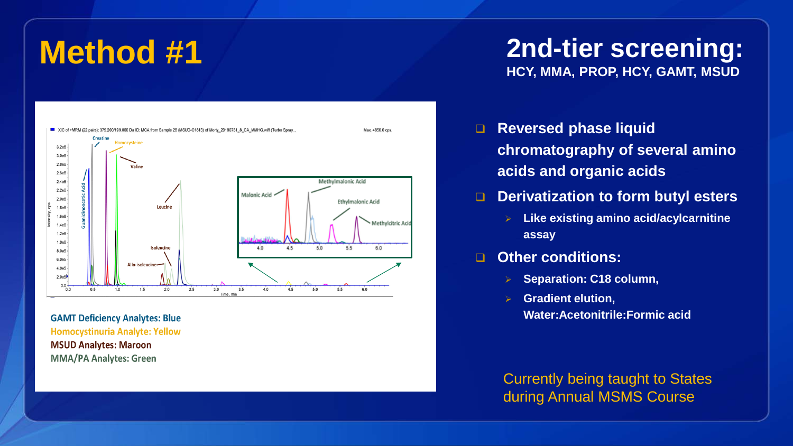

**GAMT Deficiency Analytes: Blue Homocystinuria Analyte: Yellow MSUD Analytes: Maroon MMA/PA Analytes: Green** 

### **Method #1 2nd-tier screening: HCY, MMA, PROP, HCY, GAMT, MSUD**

- **Reversed phase liquid chromatography of several amino acids and organic acids**
- **D** Derivatization to form butyl esters
	- **Like existing amino acid/acylcarnitine assay**

#### **Other conditions:**

- **Separation: C18 column,**
- **Gradient elution, Water:Acetonitrile:Formic acid**

Currently being taught to States during Annual MSMS Course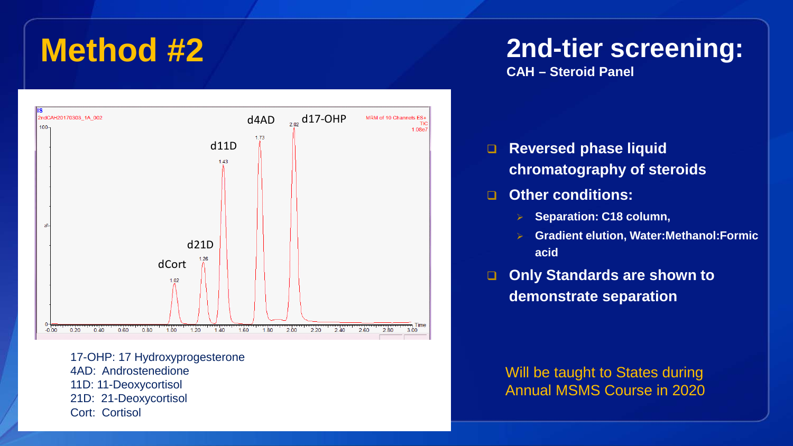

17-OHP: 17 Hydroxyprogesterone 4AD: Androstenedione 11D: 11-Deoxycortisol 21D: 21-Deoxycortisol Cort: Cortisol

### **Method #2 2nd-tier screening:**

**CAH – Steroid Panel**

- **Reversed phase liquid chromatography of steroids**
- **Other conditions:**
	- **Separation: C18 column,**
	- **Gradient elution, Water:Methanol:Formic acid**
- **Only Standards are shown to demonstrate separation**

Will be taught to States during Annual MSMS Course in 2020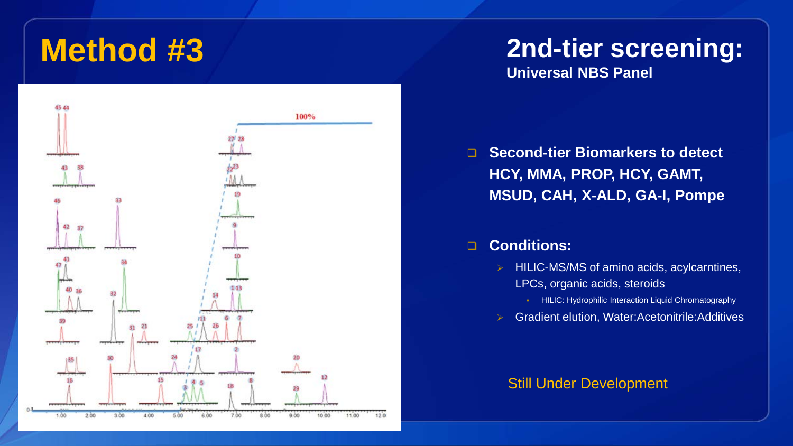

## **Method #3 2nd-tier screening:**

**Universal NBS Panel**

 **Second-tier Biomarkers to detect HCY, MMA, PROP, HCY, GAMT, MSUD, CAH, X-ALD, GA-I, Pompe**

#### **Conditions:**

- $\triangleright$  HILIC-MS/MS of amino acids, acylcarntines, LPCs, organic acids, steroids
	- HILIC: Hydrophilic Interaction Liquid Chromatography
- Gradient elution, Water:Acetonitrile:Additives

#### Still Under Development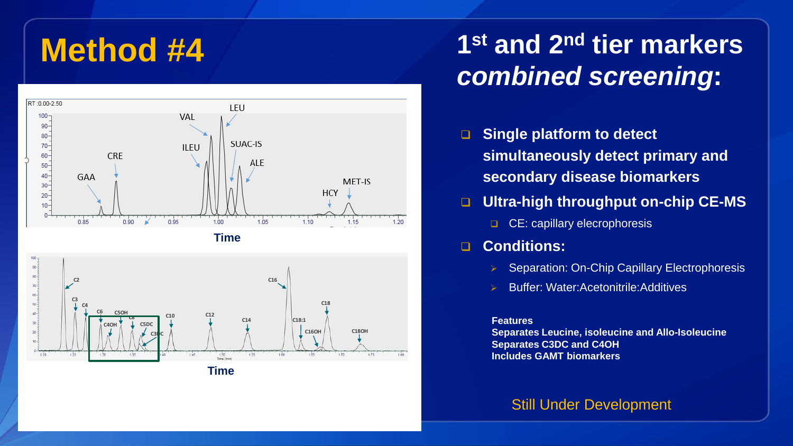

### **Method #4 1st and 2nd tier markers**  *combined screening***:**

- **B** Single platform to detect **simultaneously detect primary and secondary disease biomarkers**
- **Ultra-high throughput on-chip CE-MS** 
	- CE: capillary elecrophoresis

#### **Conditions:**

- **▶ Separation: On-Chip Capillary Electrophoresis**
- Buffer: Water:Acetonitrile:Additives

#### **Features**

**Separates Leucine, isoleucine and Allo-Isoleucine Separates C3DC and C4OH Includes GAMT biomarkers**

#### Still Under Development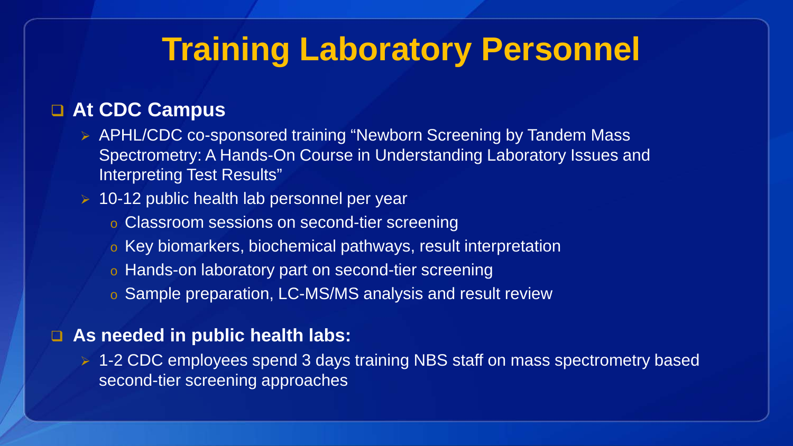## **Training Laboratory Personnel**

#### **At CDC Campus**

- ▶ APHL/CDC co-sponsored training "Newborn Screening by Tandem Mass Spectrometry: A Hands-On Course in Understanding Laboratory Issues and Interpreting Test Results"
- $\geq 10$ -12 public health lab personnel per year
	- o Classroom sessions on second-tier screening
	- o Key biomarkers, biochemical pathways, result interpretation
	- o Hands-on laboratory part on second-tier screening
	- o Sample preparation, LC-MS/MS analysis and result review

#### **As needed in public health labs:**

▶ 1-2 CDC employees spend 3 days training NBS staff on mass spectrometry based second-tier screening approaches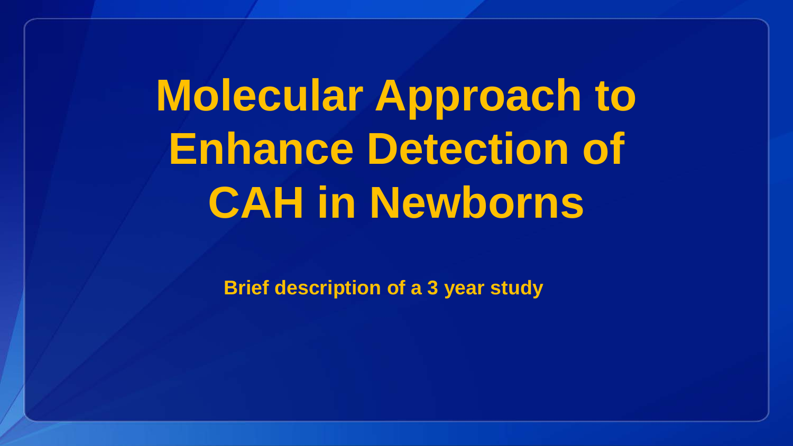**Molecular Approach to Enhance Detection of CAH in Newborns** 

**Brief description of a 3 year study**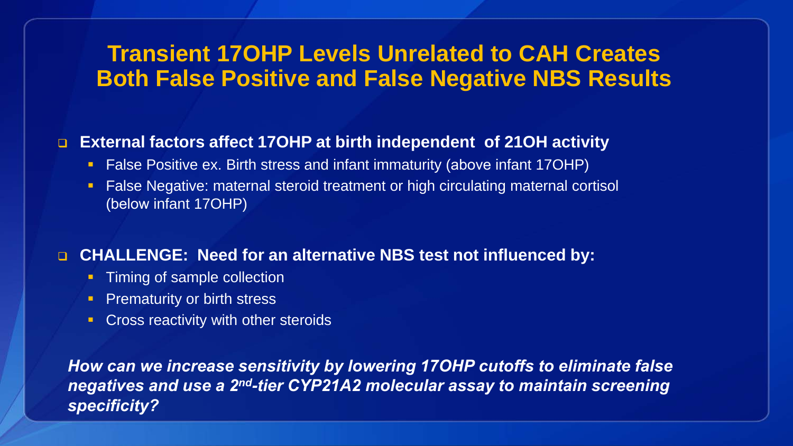### **Transient 17OHP Levels Unrelated to CAH Creates Both False Positive and False Negative NBS Results**

#### **External factors affect 17OHP at birth independent of 21OH activity**

- False Positive ex. Birth stress and infant immaturity (above infant 17OHP)
- **False Negative: maternal steroid treatment or high circulating maternal cortisol** (below infant 17OHP)

#### **CHALLENGE: Need for an alternative NBS test not influenced by:**

- **Timing of sample collection**
- **Prematurity or birth stress**
- **Cross reactivity with other steroids**

*How can we increase sensitivity by lowering 17OHP cutoffs to eliminate false negatives and use a 2<sup>nd</sup>-tier CYP21A2 molecular assay to maintain screening specificity?*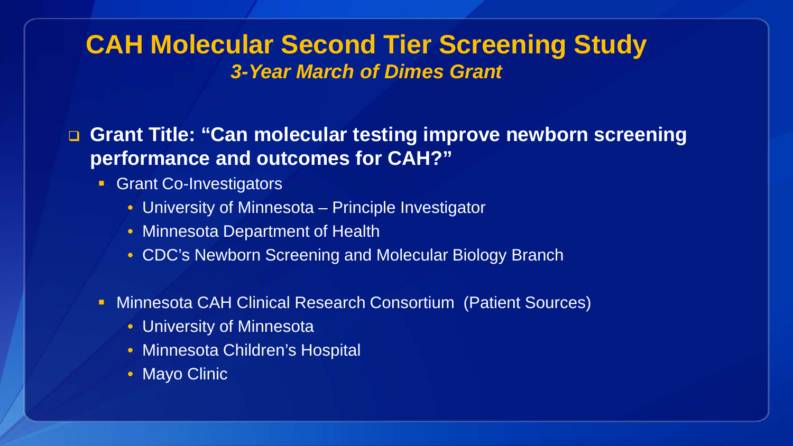### **CAH Molecular Second Tier Screening Study** *3-Year March of Dimes Grant*

 **Grant Title: "Can molecular testing improve newborn screening performance and outcomes for CAH?"**

- **Grant Co-Investigators** 
	- University of Minnesota Principle Investigator
	- Minnesota Department of Health
	- CDC's Newborn Screening and Molecular Biology Branch
- Minnesota CAH Clinical Research Consortium (Patient Sources)
	- University of Minnesota
	- Minnesota Children's Hospital
	- Mayo Clinic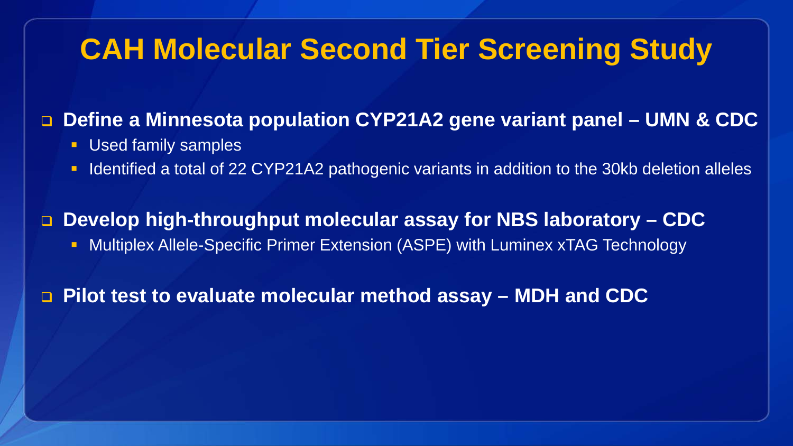### **CAH Molecular Second Tier Screening Study**

### **Define a Minnesota population CYP21A2 gene variant panel – UMN & CDC**

- **Used family samples**
- I Identified a total of 22 CYP21A2 pathogenic variants in addition to the 30kb deletion alleles

 **Develop high-throughput molecular assay for NBS laboratory – CDC • Multiplex Allele-Specific Primer Extension (ASPE) with Luminex xTAG Technology** 

**Pilot test to evaluate molecular method assay – MDH and CDC**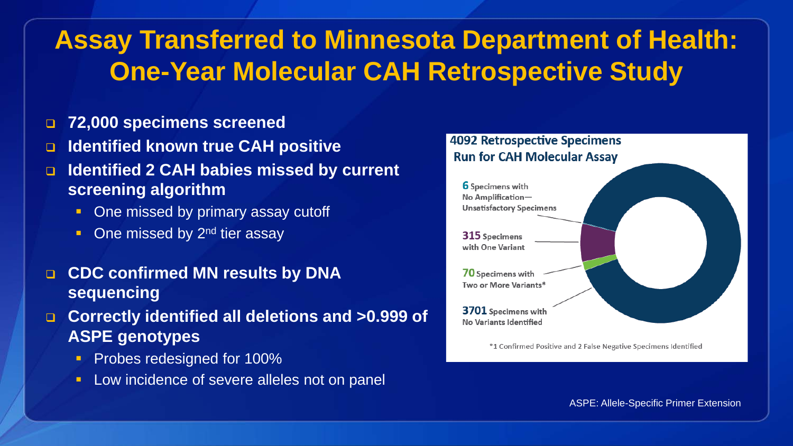### **Assay Transferred to Minnesota Department of Health: One-Year Molecular CAH Retrospective Study**

- **72,000 specimens screened**
- **Identified known true CAH positive**
- **Identified 2 CAH babies missed by current screening algorithm**
	- One missed by primary assay cutoff
	- $\blacksquare$  One missed by 2<sup>nd</sup> tier assay
- **CDC confirmed MN results by DNA sequencing**
- **Correctly identified all deletions and >0.999 of ASPE genotypes**
	- **Probes redesigned for 100%**
	- **Low incidence of severe alleles not on panel**

#### **4092 Retrospective Specimens Run for CAH Molecular Assay 6** Specimens with No Amplification-



\*1 Confirmed Positive and 2 False Negative Specimens Identified

ASPE: Allele-Specific Primer Extension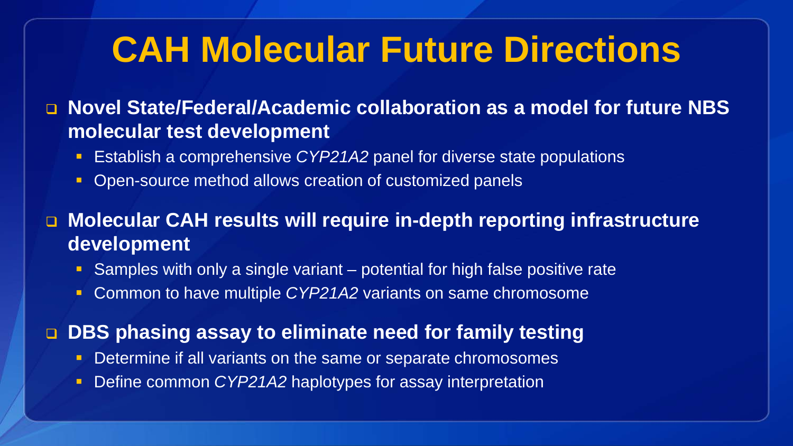## **CAH Molecular Future Directions**

 **Novel State/Federal/Academic collaboration as a model for future NBS molecular test development**

- **E** Establish a comprehensive *CYP21A2* panel for diverse state populations
- **Open-source method allows creation of customized panels**

 **Molecular CAH results will require in-depth reporting infrastructure development**

- Samples with only a single variant potential for high false positive rate
- Common to have multiple *CYP21A2* variants on same chromosome

**DBS phasing assay to eliminate need for family testing**

- **Determine if all variants on the same or separate chromosomes**
- Define common *CYP21A2* haplotypes for assay interpretation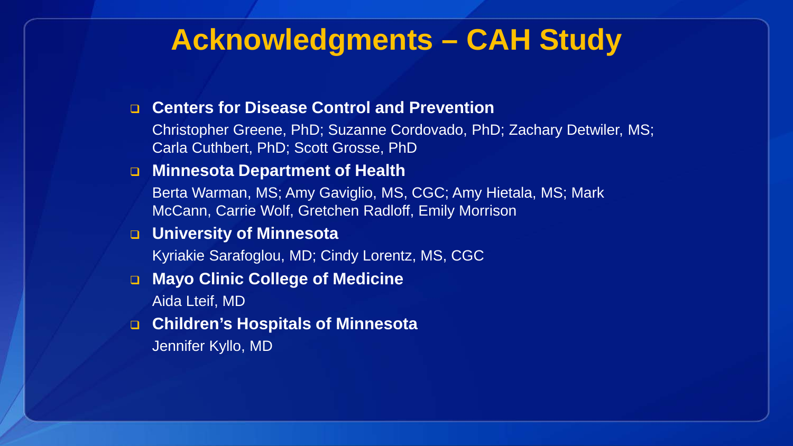### **Acknowledgments – CAH Study**

#### **Centers for Disease Control and Prevention**

Christopher Greene, PhD; Suzanne Cordovado, PhD; Zachary Detwiler, MS; Carla Cuthbert, PhD; Scott Grosse, PhD

#### **Minnesota Department of Health**

Berta Warman, MS; Amy Gaviglio, MS, CGC; Amy Hietala, MS; Mark McCann, Carrie Wolf, Gretchen Radloff, Emily Morrison

#### **University of Minnesota**

Kyriakie Sarafoglou, MD; Cindy Lorentz, MS, CGC

#### **Mayo Clinic College of Medicine** Aida Lteif, MD

- **Children's Hospitals of Minnesota**
	- Jennifer Kyllo, MD